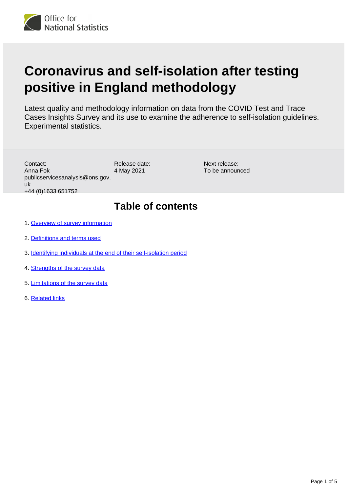

# **Coronavirus and self-isolation after testing positive in England methodology**

Latest quality and methodology information on data from the COVID Test and Trace Cases Insights Survey and its use to examine the adherence to self-isolation guidelines. Experimental statistics.

| Contact:<br>Anna Fok<br>publicservicesanalysis@ons.gov.<br>uk<br>+44 (0) 1633 651752 | Release date:<br>4 May 2021 | Next release:<br>To be announced |
|--------------------------------------------------------------------------------------|-----------------------------|----------------------------------|
| 1. Overview of survey information                                                    | <b>Table of contents</b>    |                                  |

- 2. [Definitions and terms used](#page-1-1)
- 3. [Identifying individuals at the end of their self-isolation period](#page-2-0)
- 4. [Strengths of the survey data](#page-3-0)
- 5. [Limitations of the survey data](#page-3-1)
- 6. [Related links](#page-4-0)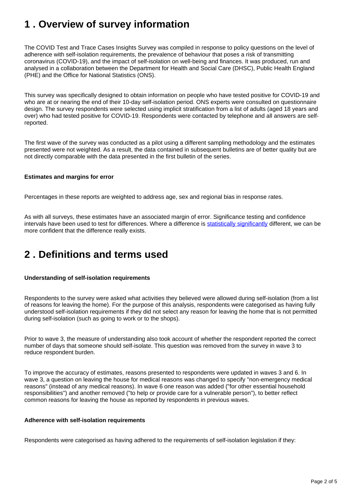### <span id="page-1-0"></span>**1 . Overview of survey information**

The COVID Test and Trace Cases Insights Survey was compiled in response to policy questions on the level of adherence with self-isolation requirements, the prevalence of behaviour that poses a risk of transmitting coronavirus (COVID-19), and the impact of self-isolation on well-being and finances. It was produced, run and analysed in a collaboration between the Department for Health and Social Care (DHSC), Public Health England (PHE) and the Office for National Statistics (ONS).

This survey was specifically designed to obtain information on people who have tested positive for COVID-19 and who are at or nearing the end of their 10-day self-isolation period. ONS experts were consulted on questionnaire design. The survey respondents were selected using implicit stratification from a list of adults (aged 18 years and over) who had tested positive for COVID-19. Respondents were contacted by telephone and all answers are selfreported.

The first wave of the survey was conducted as a pilot using a different sampling methodology and the estimates presented were not weighted. As a result, the data contained in subsequent bulletins are of better quality but are not directly comparable with the data presented in the first bulletin of the series.

### **Estimates and margins for error**

Percentages in these reports are weighted to address age, sex and regional bias in response rates.

As with all surveys, these estimates have an associated margin of error. Significance testing and confidence intervals have been used to test for differences. Where a difference is [statistically significantly](https://www.ons.gov.uk/methodology/methodologytopicsandstatisticalconcepts/uncertaintyandhowwemeasureit#statistical-significance) different, we can be more confident that the difference really exists.

## <span id="page-1-1"></span>**2 . Definitions and terms used**

### **Understanding of self-isolation requirements**

Respondents to the survey were asked what activities they believed were allowed during self-isolation (from a list of reasons for leaving the home). For the purpose of this analysis, respondents were categorised as having fully understood self-isolation requirements if they did not select any reason for leaving the home that is not permitted during self-isolation (such as going to work or to the shops).

Prior to wave 3, the measure of understanding also took account of whether the respondent reported the correct number of days that someone should self-isolate. This question was removed from the survey in wave 3 to reduce respondent burden.

To improve the accuracy of estimates, reasons presented to respondents were updated in waves 3 and 6. In wave 3, a question on leaving the house for medical reasons was changed to specify "non-emergency medical reasons" (instead of any medical reasons). In wave 6 one reason was added ("for other essential household responsibilities") and another removed ("to help or provide care for a vulnerable person"), to better reflect common reasons for leaving the house as reported by respondents in previous waves.

### **Adherence with self-isolation requirements**

Respondents were categorised as having adhered to the requirements of self-isolation legislation if they: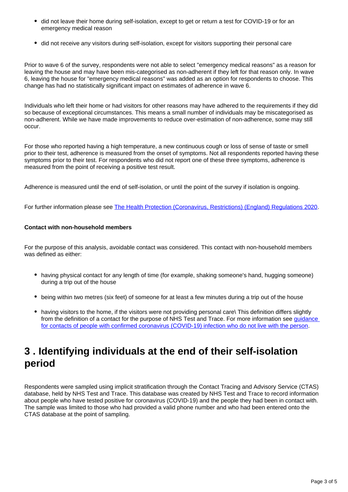- did not leave their home during self-isolation, except to get or return a test for COVID-19 or for an emergency medical reason
- did not receive any visitors during self-isolation, except for visitors supporting their personal care

Prior to wave 6 of the survey, respondents were not able to select "emergency medical reasons" as a reason for leaving the house and may have been mis-categorised as non-adherent if they left for that reason only. In wave 6, leaving the house for "emergency medical reasons" was added as an option for respondents to choose. This change has had no statistically significant impact on estimates of adherence in wave 6.

Individuals who left their home or had visitors for other reasons may have adhered to the requirements if they did so because of exceptional circumstances. This means a small number of individuals may be miscategorised as non-adherent. While we have made improvements to reduce over-estimation of non-adherence, some may still occur.

For those who reported having a high temperature, a new continuous cough or loss of sense of taste or smell prior to their test, adherence is measured from the onset of symptoms. Not all respondents reported having these symptoms prior to their test. For respondents who did not report one of these three symptoms, adherence is measured from the point of receiving a positive test result.

Adherence is measured until the end of self-isolation, or until the point of the survey if isolation is ongoing.

For further information please see [The Health Protection \(Coronavirus, Restrictions\) \(England\) Regulations 2020](https://www.legislation.gov.uk/uksi/2020/350/regulation/6/made).

#### **Contact with non-household members**

For the purpose of this analysis, avoidable contact was considered. This contact with non-household members was defined as either:

- having physical contact for any length of time (for example, shaking someone's hand, hugging someone) during a trip out of the house
- being within two metres (six feet) of someone for at least a few minutes during a trip out of the house
- having visitors to the home, if the visitors were not providing personal care\ This definition differs slightly from the definition of a contact for the purpose of NHS Test and Trace. For more information see quidance [for contacts of people with confirmed coronavirus \(COVID-19\) infection who do not live with the person](https://www.gov.uk/government/publications/guidance-for-contacts-of-people-with-possible-or-confirmed-coronavirus-covid-19-infection-who-do-not-live-with-the-person/guidance-for-contacts-of-people-with-possible-or-confirmed-coronavirus-covid-19-infection-who-do-not-live-with-the-person).

### <span id="page-2-0"></span>**3 . Identifying individuals at the end of their self-isolation period**

Respondents were sampled using implicit stratification through the Contact Tracing and Advisory Service (CTAS) database, held by NHS Test and Trace. This database was created by NHS Test and Trace to record information about people who have tested positive for coronavirus (COVID-19) and the people they had been in contact with. The sample was limited to those who had provided a valid phone number and who had been entered onto the CTAS database at the point of sampling.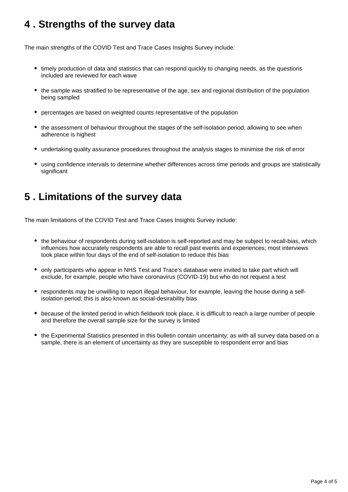### <span id="page-3-0"></span>**4 . Strengths of the survey data**

The main strengths of the COVID Test and Trace Cases Insights Survey include:

- timely production of data and statistics that can respond quickly to changing needs, as the questions included are reviewed for each wave
- the sample was stratified to be representative of the age, sex and regional distribution of the population being sampled
- percentages are based on weighted counts representative of the population
- the assessment of behaviour throughout the stages of the self-isolation period, allowing to see when adherence is highest
- undertaking quality assurance procedures throughout the analysis stages to minimise the risk of error
- using confidence intervals to determine whether differences across time periods and groups are statistically significant

### <span id="page-3-1"></span>**5 . Limitations of the survey data**

The main limitations of the COVID Test and Trace Cases Insights Survey include:

- the behaviour of respondents during self-isolation is self-reported and may be subject to recall-bias, which influences how accurately respondents are able to recall past events and experiences; most interviews took place within four days of the end of self-isolation to reduce this bias
- only participants who appear in NHS Test and Trace's database were invited to take part which will exclude, for example, people who have coronavirus (COVID-19) but who do not request a test
- respondents may be unwilling to report illegal behaviour, for example, leaving the house during a selfisolation period; this is also known as social-desirability bias
- because of the limited period in which fieldwork took place, it is difficult to reach a large number of people and therefore the overall sample size for the survey is limited
- the Experimental Statistics presented in this bulletin contain uncertainty; as with all survey data based on a sample, there is an element of uncertainty as they are susceptible to respondent error and bias